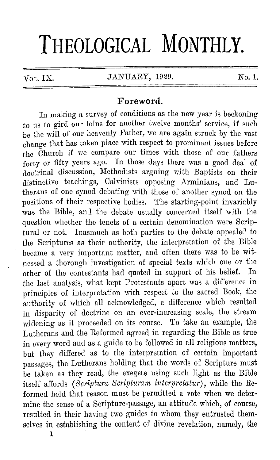## **THEOLOGICAL MONTHLY.**

 $V_{\text{OL}}$  IX. JANUARY, 1929. No. 1.

## **Foreword.**

In making a survey of conditions as the new year is beckoning to us to gird our loins for another twelve months' service, if such be the will of our heavenly Father, we are again struck by the vast change that has taken place with respect to prominent issues before the Church if we compare our times with those of our fathers :forty or fifty years ago. In those days there was a good deal of doctrinal discussion, Methodists arguing with Baptists on their distinctive teachings, Calvinists opposing Arminians, and Lutherans of one synod debating with those of another synod on the positions of their respective bodies. The starting-point invariably was the Bible, and the debate usually concerned itself with the question whether the tenets of a certain denomination were Scriptural or not. Inasmuch as both parties to the debate appealed to the Scriptures as their authority, the interpretation of the Bible became a very important matter, and often there was to be witnessed a thorough investigation of special texts which one or the other of the contestants had quoted in support of his belier. In the last analysis, what kept Protestants apart was a difference in principles of interpretation with respect to the sacred Book, the authority of which all acknowledged, a difference which resulted in disparity of doctrine on an ever-increasing scale, the stream widening as it proceeded on its course. To take an example, the Lutherans and the Reformed agreed in regarding the Bible as true in every word and as a guide to be followed in all religious matters, but they differed as to the interpretation of certain important passages, the Lutherans holding that the words of Scripture must be taken as they read, the exegete using such light as the Bible itself affords *(Scriptura Scripturam interpretatur),* while the Reformed held that reason must be permitted a vote when we determine the sense of a Scripture-passage, an attitude which, of course, resulted in their having two guides to whom they entrusted themselves in establishing the content of divine revelation, namely, the

**1**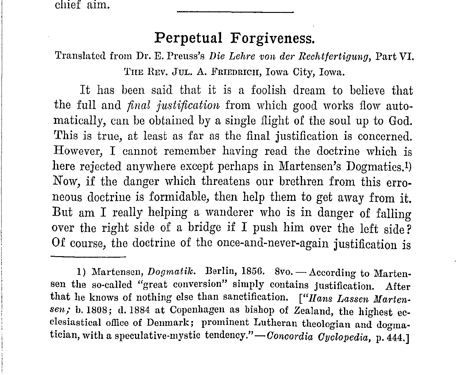chief aim.

## **Perpetual Forgiveness.**

Translated from Dr. E. I'reuss's *Die Lehre von de1· Rechtfertigimg,* Part VI. THE REV. JUL. A. FRIEDRICH, Iowa City, Iowa.

It has been said that it is a foolish dream to believe that the full and *final justification* from which good works flow automatically, can be obtained by a single flight of the soul up to God. This is true, at least as far as the final justification is concerned. However, I cannot remember having read the doctrine which is here rejected anywhere except perhaps in Martensen's Dogmatics.1) Now, if the danger which threatens our brethren from this erroneous doctrine is formidable, then help them to get away from it. But am I really helping a wanderer who is in danger of falling over the right side of a bridge if I push him over the left side? Of course, the doctrine of the once-and-never-again justification is

<sup>1)</sup> Martensen, *Dogmatik*. Berlin, 1856. 8vo. - According to Martensen the so·called "great conversion" simply contains justification. After that he knows of nothing else than sanctification. *["Ilans Lassen Martensen;* b. 1808; d. 1884 at Copenhagen as bishop of Zealand, the highest ecclesiastical office of Denmark; prominent Lutheran theologian and dogmatician, with a speculative-mystic tendency."-Concordia Cyclopedia, p. 444.]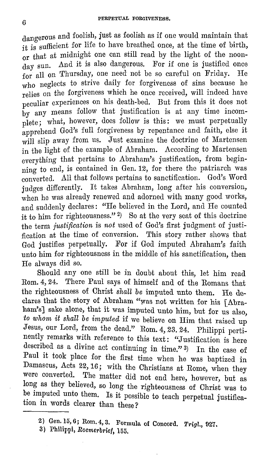dangerous and foolish, just as foolish as if one would maintain that it is sufficient for life to have breathed once, at the time of birth,  $_{\rm or\ that}$  at midnight one can still read by the light of the noon- $_{\rm{day\ sun.}}$  And it is also dangerous. For if one is justified once  $_{\rm for}$  all on Thursday, one need not be so careful on Friday. He  $_{\rm who}$  neglects to strive daily for forgiveness of sins because he  $_{\rm relies~on}$  the forgiveness which he once received, will indeed have peculiar experiences on his death-bed. But from this it docs not  $_{\text{by any means} }$  follow that justification is at any time incom- $_{\rm plate};$  what, however, does follow is this: we must perpetually  $a$ pprehend God's full forgiveness by repentance and faith, else it will slip away from us. Just examine the doctrine of Martensen in the light of the example of Abraham. According to Martensen  $_{\rm everything}$  that pertains to Abraham's justification, from beginning to end, is contained in Gen. 12, for there the patriarch was converted. All that follows pertains to sanctification. God's Word judges differently. It takes Abraham, long after his conversion, when he was already renewed and adorned with many good works, and suddenly declares: "He believed in the Lord, and He counted it to him for righteousness." 2) So at the very seat of this doctrine the term *justification* is *not* used of God's first judgment of justification at the time of conversion. This story rather shows that God justifies perpetually. For if God imputed Abraham's faith unto him for righteousness in the middle of his sanctification, then He always did so.

Should any one still be in doubt about this, let him read Rom. 4, 24. There Paul says of himself and of the Romans that the righteousness of Christ *shall be* imputed unto them. He declares that the story of Abraham "was not written for his [Abraham's] sake alone, that it was imputed unto him, but for us also. to whom it shall be imputed if we believe on Him that raised up Jesus, our Lord, from the dead."  $\rm{Rom.~4, 23.~24.}$  Philippi pertinently remarks with reference to this text: "Justification is here described as a divine act continuing in time."  $3)$  In the case of Paul it took place for the first time when he was baptized in Damascus, Acts 22, 16; with the Christians at Rome, when they were converted. The matter did not end here, however, but as Iong as they believed, so long the righteousness of Christ was to be imputed unto them. Is it possible to teach perpetual justification in words clearer than these?

<sup>2)</sup> Gen. 15, 6; Rom. 4, 3. Formula of Concord. *Trigl.*, 927.<br>3) Philippi, *Roemerbrief*, 155.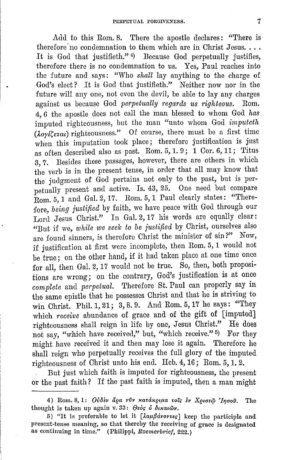Add to this Rom. 8. There the apostle declares: "There is therefore no condemnation to them which are in Christ Jesus... It is God that justifieth." $4)$  Because God perpetually justifies, therefore there is no condemnation to us. Yes, Paul reaches into the future and says: "Who *shall* lay anything to the charge of God's elect? It is God that justifieth." Neither now nor in the future will any one, not even the devil, be able to lay any charges against us because God *perpetually regards us righteous.* Rom. 4, 6 the apostle does not call the man blessed to whom God *has*  imputed righteousness, but the man "unto whom God *imputeth*   $(i_{0}j_{\ell}(\xi_{\ell}a_{\ell})$  righteousness." Of course, there must be a first time when this imputation took place; therefore justification is just as often described also as past. Rom. 5, 1. 9; 1 Cor. 6, 11; Titus 3, 7. Besides these passages, however, there are others in which the verb is in the present tense, in order that all may know that the judgment of God pertains not only to the past, but is perpetually present and active. Is. 43, 25. One need but compare Rom. 5, 1 and Gal. 2, 17. Rom. 5, 1 Paul clearly states: "Therefore, *being justified* by faith, we have peace with God through our Lord Jesus Christ." In Gal. 2, 17 his words are equally clear: "But if we, *while we seelc* to *be justified* by Christ, ourselves also are found sinners, is therefore Christ the minister of sin?" Now, if justification at first were incomplete, then Rom. 5, 1 would not be true; on the other hand, if it had taken place at one time once for all, then Gal. 2, 17 would not be true. So, then, both propositions are wrong; on the contrary, God's justification is at once complete and *perpetual*. Therefore St. Paul can properly say in the same epistle that he possesses Christ and that he is striving to win Christ. Phil. 1, 21; 3, 8. 9. And Rom. 5, 17 he says: "They which *receive* abundance of grace and of the gift of [imputed] righteousness shall reign in life by one, Jesus Christ." He does not say, "which have received," but, "which receive." 5) For they might have received it and then may lose it again. Therefore he shall reign who perpetually receives the full glory of the imputed righteousness of Christ unto his end. Heb. 4, 16; Rom. 5, 1. 2.

But just which faith is imputed for righteousness, the present or the past faith? If the past faith is imputed, then a man might

<sup>4)</sup> Rom. 8, 1: *Ούδεν άρα νύν κατάκριμα τοΐς εν Χριστώ 'Ιησού*. The thought is taken up again v. 33:  $\Theta$ *eoc* o  $\delta$ *ixai* ov.

<sup>5) &</sup>quot;It is preferable to let it  $[\lambda \alpha \mu \beta \dot{\alpha} \nu \sigma \nu \epsilon \epsilon]$  keep the participle and present-tense meaning, so that thereby the receiving of grace is designated as continuing in time." (Philippi, *Roemerbrief*, 222.)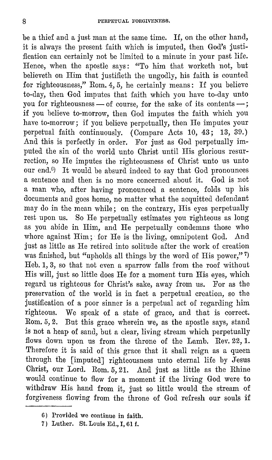be a thief and a just man at the same time. If, on the other hand, it is always the present faith which is imputed, then God's justification can certainly not be limited to a minute in your past life. Hence, when the apostle says: "To him that worketh not, but believeth on Him that justifieth the ungodly, his faith is counted for righteousness," Rom. 4, 5, he certainly means: If you believe to-day, then God imputes that faith which you have to-day unto you for righteousness  $-$  of course, for the sake of its contents  $-$ ; if you believe to-morrow, then God imputes the faith which you have to-morrow; if you believe perpetually, then He imputes your perpetual faith continuously. (Compare Acts 10, 43; 13, 39.) And this is perfectly in order. For just as God perpetually imputed the sin of the world unto Christ until His glorious resurrection, so He imputes the righteousness of Christ unto us unto our end. $6$ ) It would be absurd indeed to say that God pronounces a sentence and then is no more concerned about it. God is not a man who, after having pronounced a sentence, folds up his documents and goes home, no matter what the acquitted defendant may do in the mean while; on the contrary, His eyes perpetually rest upon us. So He perpetually estimates you righteous as long as you abide in Him, and He perpetually condemns those who whore against Him; for He is the living, omnipotent God. And just as little as He retired into solitude after the work of creation was finished, but "upholds all things by the word of His power," 7) Heb. 1, 3, so that not even a sparrow falls from the roof without His will, just so little does He for a moment turn His eyes, which regard us righteous for Christ's sake, away from us. For as the preservation of the world is in fact a perpetual creation, so the justification of a poor sinner is a perpetual act of regarding him righteous. We speak of a state of grace, and that is correct. Rom. 5, 2. But this grace wherein we, as the apostle says, stand is not a heap of sand, but a clear, living stream which perpetually flows down upon us from the throne of the Lamb. Rev. 22, 1. Therefore it is said of this grace that it shall reign as a queen through the [imputed] righteousness unto eternal life by Jesus Christ, our Lord. Rom. 5, 21. And just as little as the Rhine would continue to flow for a moment if the living God were to withdraw His hand from it, just so little would the stream of forgiveness flowing from the throne of God refresh our souls if

<sup>6)</sup> Provided we continue in faith.

<sup>7)</sup> Luther. St. Louis Ed., I, 61 f.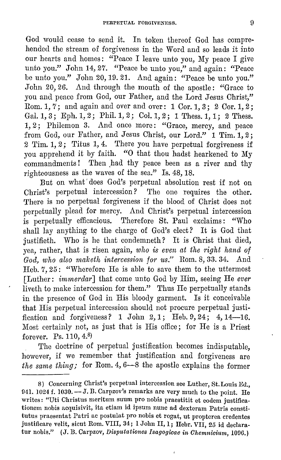God would cease to send it. In token thereof God has comprehended the stream of forgiveness in the Word and so leads it into our hearts and homes: "Peace I leave unto you, My peace I give unto you." John 14, 27. "Peace be unto you," and again: "Peace be unto you." John 20, 19. 21. And again: "Peace be unto you." John 20, 26. And through the mouth of the apostle: "Grace to you and peace from God, our Father, and the Lord Jesus Christ," Rom. 1,  $\gamma$ : and again and over and over: 1 Cor. 1, 3; 2 Cor. 1, 2; Gal.  $1, 3$ ; Eph.  $1, 2$ ; Phil.  $1, 2$ ; Col.  $1, 2$ ; 1 Thess.  $1, 1$ ; 2 Thess. 1, 2; Philemon 3. And once more: "Grace, mercy, and peace from God, our Father, and Jesus Christ, our Lord." 1 Tim. 1, 2; 2 Tim. 1, 2; Titus 1, 4. There you have perpetual forgiveness if you apprehend it by faith. "0 that thou hadst hearkened to My commandments! Then had thy peace been as a river and thy righteousness as the waves of the sea." Is. 48, 18.

But on what' does God's perpetual absolution rest if not on Christ's perpetual intercession? The one requires the other. There is no perpetual forgiveness if the blood of Christ does not perpetually plead for mercy. And Christ's perpetual intercession is perpetually efficacious. Therefore St. Paul exclaims: "Who shall lay anything to the charge of God's elect? It is God that justifieth. Who is he that condemneth? It is Christ that died, yea, rather, that is risen again, *who is even at the right hand of God, who also malceth intercession for us."* Rom. 8, 33. 34. And Heb. 7, 25: "Wherefore He is able to save them to the uttermost [Luther: *immerda1·]* that come unto God by Him, seeing He *ever*  liveth to make intercession for them." Thus He perpetually stands in the presence of God in His bloody garment. Is it conceivable that His perpetual intercession should not procure perpetual justification and forgiveness? 1 John 2, 1; Heb. 9, 24; 4, 14-16. Most certainly not, as just that is His office; for He is a Priest forever. Ps. 110, 4.B)

The doctrine of perpetual justification becomes indisputable, however, if we remember that justification and forgiveness are *the same thing;* for Rom. 4, 6-8 the apostle explains the former

 $\overline{1}$ 

<sup>8)</sup> Concerning Christ's perpetual intercession see Luther, St. Louis Ed., 941. 1024 f. 1030.  $-$  J. B. Carpzov's remarks are very much to the point. He writes: "Uti Christus meritum suum pro nobis praestitit et eodem justificationcm nobis acquisivit, ita etiam id ipsum nunc ad dexteram Patris constitutus praesentat Patri ac postulat pro nobis et rogat, ut propterea credentes justificare velit, sicut Rom. VIII, 34; 1 John II, 1; Hebr. VII, 25 id declaratur nobis." (J. B. Carpzov, *Disputationes Isagogicae in Chemnicium*, 1096.)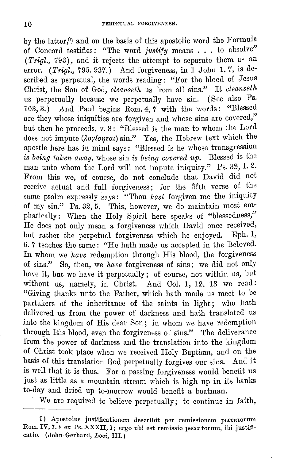by the latter,9) and on the basis of this apostolic word the Formula of Concord testifies: "The word *justify* means ... to absolve" ( *Trigl.,* 793), and it rejects the attempt to separate them as an error. *(Trigl.,* 795. 937.) And forgiveness, in 1 John 1, 7, is described as perpetual, the words reading: "For the blood of Jesus Christ, the Son of God, *cleanseth* us from all sins." It *cleanseth*  us perpetually because we perpetually have sin. (See also Ps. 103, 3.) And Paul begins Rom. 4, 7 with the words: "Blessed are they whose iniquities are forgiven and whose sins are covered," but then he proceeds, v. 8: "Blessed is the man to whom the Lord does not impute ( $\lambda$ oyionzai) sin." Yes, the Hebrew text which the apostle here has in mind says: "Blessed is he whose transgression *is being taken away,* whose sin *is being covered up.* Blessed is the man unto whom the Lord will not impute iniquity." Ps. 32, 1.2. From this we, of course, do not conclude that David did not receive actual and full forgiveness; for the fifth verse of the same psalm expressly says: "Thou *hast* forgiven me the iniquity of my sin." Ps. 32, 5. This, however, we do maintain most emphatically: When the Holy Spirit here speaks of "blessedness," He does not only mean a forgiveness which David once received, but rather the perpetual forgiveness which he enjoyed. Eph. 1, 6. 7 teaches the same: "He hath made us accepted in the Beloved. In whom we *have* redemption through His blood, the forgiveness of sins." So, then, we *have* forgiveness of sins; we did not only have it, but we have it perpetually; of course, not within us, but without us, namely, in Christ. And Col. 1, 12. 13 we read: "Giving thanks unto the Father, which hath made us meet to be partakers of the inheritance of the saints in light; who hath delivered us from the power of darkness and hath translated us into the kingdom of His dear Son; in whom we have redemption through His blood, even the forgiveness of sins." The deliverance from the power of darkness and the translation into the kingdom of Christ took place when we received Holy Baptism, and on the basis of this translation God perpetually forgives our sins. And it is well that it is thus. For a passing forgiveness would benefit us just as little as a mountain stream which is high up in its banks to-day and dried up to-morrow would benefit a boatman.

We are required to believe perpetually; to continue in faith,

<sup>9)</sup> Apostolus justificationem describit per remissionem peccutorum Rom. IV, 7. 8 ex Ps. XXXII, 1; ergo ubi est remissio peccatorum, ibi justificatio. (John Gerhard, *Loci,* III.)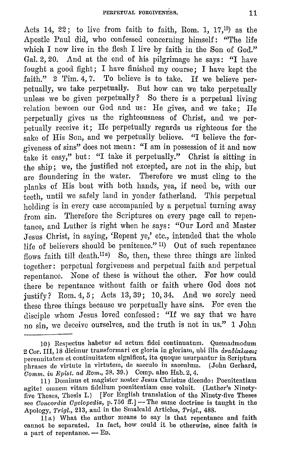Acts 14, 22; to live from faith to faith, Rom. 1,  $17,10$  as the Apostle Paul did, who confessed concerning himself: "The life which I now live in the flesh I live by faith in the Son of God." Gal. 2, 20. And at the end of his pilgrimage he says: "I have fought a good fight; I have finished my course; I have kept the faith." 2 Tim. 4, 7. To believe is to take. If we believe perpetually, we take perpetually. But how can we take perpetually unless we be given perpetually? So there is a perpetual living relation beween our God and us: He gives, and we take: He perpetually gives us the righteousness of Christ, and we perpetually receive it; He perpetually regards us righteous for the sake of His Son, and we perpetually believe. "I believe the forgiveness of sins" does not mean: "I am in possession of it and now  $t_{\rm ake}$  it easy," but: "I take it perpetually." Christ is sitting in the ship; we, the justified not excepted, are not in the ship, but are floundering in the water. Therefore we must cling to the planks of His boat with both hands, yea, if need be, with our teeth, until we safely land in yonder fatherland. This perpetual holding is in every case accompanied by a perpetual turning away from sin. Therefore the Scriptures on every page call to repentance, and Luther is right when he says: "Our Lord and Master Jesus Christ, in saying, 'Repent ye,' etc., intended that the whole life of believers should be penitence." 11) Out of such repentance flows faith till death.<sup>11a</sup>) So, then, these three things are linked together: perpetual forgiveness and perpetual faith and perpetual repentance. None of these is without the other. For how could there be repentance without faith or faith where God does not justify? Rom. 4, 5; Acts 13, 39; 10, 34. And we sorely need these three things because we perpetually have sins. For even the disciple whom Jesus loved confessed: "If we say that we have no sin, we deceive ourselves, and the truth is not in us." 1 John

<sup>10)</sup> Rcspectus habetur ad actum fidei continuatum. Quemadmodum 2 Cor. III, 18 dicimur transformari ex gloria in gloriam, ubi illa *avaôlnlwous* perennitatem et continuitatem significat, ita quoque usurpantur in Scriptura phrases de virtute in virtutem, de saeculo in saeculum. (John Gerhard, *Comm. in JiJpist. ad Rom.,* 38. 39.) Comp. also Hab. 2, 4.

<sup>11)</sup> Domiuus et magister noster Jesus Christus dicendo: Poenitcntiam agite! omnem vitam fidelium poenitentiam esse voluit. (Luther's Ninetyfive Theses, Thesis I.) [For English translation of the Ninety-five Theses see *Concordia Cyclopedia*, p. 756 ff.] -- The same doctrine is taught in the Apology, *Trigl.,* 213, and in the Smalcald Articles, *Trigl.,* 488.

<sup>11</sup> a) What the author means to say is that repentance and faith cannot be separated. In fact, how could it be otherwise, since faith is a part of repentance. -- ED.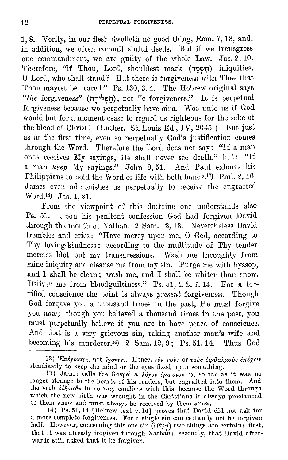1, 8. Verily, in our flesh dwelleth no good thing, Rom. 7, 18, and, in addition, we often commit sinful deeds. But if we transgress one commandment, we are guilty of the whole Law. Jas. 2, 10. Therefore, "if Thou, Lord, shouldest mark (הִשְׁמַר) iniquities, 0 Lord, who shall stand? But there is forgiveness with Thee that Thou mayest be feared." Ps. 130, 3.4. The Hebrew original says *"the* forgiveness" **(n~'?~tl),** not *"a* forgiveness." It is perpetual forgiveness because we perpetually have sins. Woe unto us if God would but for a moment cease to regard us righteous for the sake of the blood of Christ! (Luther. St. Louis Ed., IV, 2045.) But just as at the first time, even so perpetually God's justification comes through the Word. Therefore the Lord does not say: "If a man once receives My sayings, He shall never see death," but: "If a man *lceep* My sayings." John 8, 51. And Paul exhorts his Philippians to hold the Word of life with both hands.<sup>12</sup>) Phil. 2, 16. James even admonishes us perpetually to receive the engrafted Word.13) Jas. 1, 21.

From the viewpoint of this doctrine one understands also Ps. 51. Upon his penitent confession God had forgiven David through the mouth of Nathan. 2 Sam. 12, 13. Nevertheless David trembles and cries: "Have mercy upon me, 0 God, according to Thy loving-kindness: according to the multitude of Thy tender mercies blot out my transgressions. Wash me throughly from mine iniquity and cleanse me from my sin. Purge me with hyssop, and I shall be clean; wash me, and I shall be whiter than snow. Deliver me from bloodguiltiness." Ps. 51, 1. 2. 7. 14. For a terrified conscience the point is always *present* forgiveness. Though God forgave you a thousand times in the past, He must forgive you *now;* though you believed a thousand times in the past, you must perpetually believe if you are to have peace of conscience. And that is a very grievous sin, taking another man's wife and becoming his murderer.<sup>14</sup>) 2 Sam. 12, 9; Ps. 51, 14. Thus God

<sup>12)</sup> *'Eπέχοντες, not έχοντες.* Hence, τον νοῦν or τοὺς ὀφθαλμοὺς επέχειν steadfastly to keep the mind or the eyes fixed upon something.

<sup>13)</sup> James calls the Gospel a  $\lambda \phi \gamma \phi \gamma \phi \psi$  in so far as it was no longer strange to the hearts of his readers, but engrafted into them. And the verb  $\delta \dot{\epsilon}$ *zao*0 $\epsilon$  in no way conflicts with this, because the Word through which the new birth was wrought in the Christians is always proclaimed to them anew and must always be received by them anew.

<sup>14)</sup> Ps. 51, 14 [Hebrew text v. 16] proves that David did not ask for a more complete forgiveness. For a single sin can certainly not be forgiven half. However, concerning this one sin **(Cl'~"T)** two things are certain; first, that it was already forgiven through Nathan; secondly, that David afterwards still asked that it be forgiven.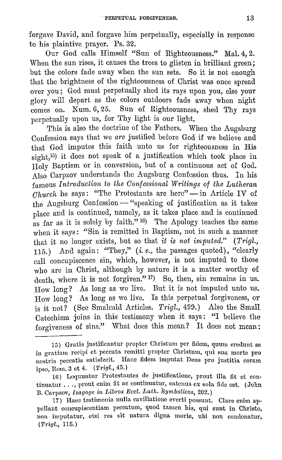:forgave David, and forgave him perpetually, especially in response to his plaintive prayer. Ps. 32.

Our God calls Himself "Sun of Righteousness." Mal. 4, 2. When the sun rises, it causes the trees to glisten in brilliant green; but the colors fade away when the sun sets. So it is not enough that the brightness of the righteousness of Christ was once spread over you; God must perpetually shed its rays upon you, else your glory will depart as the colors outdoors fade away when night  $\frac{1}{\text{comes on.}}$   $\frac{1}{\text{Num. 6, 25.}}$  Sun of Righteousness, shed Thy rays perpetually upon us, for Thy light is our light.

This is also the doctrine of the Fathers. When the Augsburg Confession says that we *are* justified before God if we believe and that God imputes this faith unto us for righteousness in His sight,<sup>15</sup>) it does not speak of a justification which took place in Holy Baptism or in conversion, but of a continuous act of God. Also Carpzov understands the Augsburg Confession thus. In his famous *Introduction to the Confessional Writings of the Lutheran*   $\overline{Church}$  he says: "The Protestants are here"  $\overline{\phantom{A}}$  in Article IV of  $t$ he Augsburg Confession — "speaking of justification as it takes place and is continued, namely, as it takes place and is continued as far as it is solely by faith."  $^{16}$ ) The Apology teaches the same when it says: "Sin is remitted in Baptism, not in such a manner that it no longer exists, but so that *it is not imputed." (Trigl.,*  115.) And again: "They," (*i.e.*, the passages quoted), "clearly call concupiscence sin, which, however, is not imputed to those who are in Christ, although by nature it is a matter worthy of death, where it is not forgiven." <sup>17</sup>) So, then, sin remains in us. How long? As long as we live. But it is not imputed unto us. How long? As long as we live. Is this perpetual forgiveness, or is it not? ( Seo Smalcald Articles. *Trigl.,* 499.) Also the Small Catechism joins in this testimony when it says: "I believe the forgiveness of sins." What does this mean? It does not mean:

<sup>15)</sup> Gratis justificantur propter Christum per fidem, quum credunt se in gratiam recipi et peccata remitti propter Christum, qui sua morte pro nostris peccatis satisfecit. Hane fidcm imputat Deus pro justitia coram ipso, Rom. 3 ct 4. ( *7'rigl.,* 45.)

<sup>16)</sup> Loquuntur Protestantcs de justificationc, prout illa fit ct con $t$ inuatur ..., prout enim fit ac continuatur, catenus ex sola fide est. (John B. Carpzov, *Isagoge in Libros Eccl. Luth. Symbolicos*, 202.)

<sup>17)</sup> Hnec testhnonin nulla cavillationc everti possunt. Clare enim appellant concupiscentiam peccatum, quod tamen his, qui sunt in Christo, non imputatur, etsi res sit natura digna morte, ubi non condonatur. *(Trig!.,* 115.)